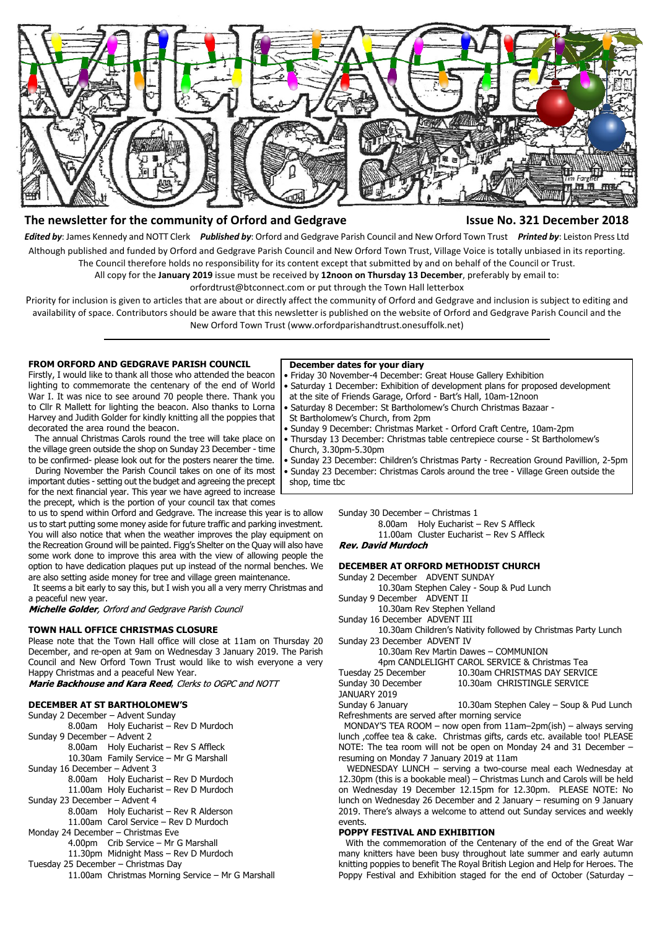

# **The newsletter for the community of Orford and Gedgrave Issue No. 321 December 2018**

*Edited by*: James Kennedy and NOTT Clerk *Published by*: Orford and Gedgrave Parish Council and New Orford Town Trust *Printed by*: Leiston Press Ltd Although published and funded by Orford and Gedgrave Parish Council and New Orford Town Trust, Village Voice is totally unbiased in its reporting. The Council therefore holds no responsibility for its content except that submitted by and on behalf of the Council or Trust.

All copy for the **January 2019** issue must be received by **12noon on Thursday 13 December**, preferably by email to:

orfordtrust@btconnect.com or put through the Town Hall letterbox

Priority for inclusion is given to articles that are about or directly affect the community of Orford and Gedgrave and inclusion is subject to editing and availability of space. Contributors should be aware that this newsletter is published on the website of Orford and Gedgrave Parish Council and the New Orford Town Trust (www.orfordparishandtrust.onesuffolk.net)

# **FROM ORFORD AND GEDGRAVE PARISH COUNCIL**

Firstly, I would like to thank all those who attended the beacon lighting to commemorate the centenary of the end of World War I. It was nice to see around 70 people there. Thank you to Cllr R Mallett for lighting the beacon. Also thanks to Lorna Harvey and Judith Golder for kindly knitting all the poppies that decorated the area round the beacon.

 The annual Christmas Carols round the tree will take place on the village green outside the shop on Sunday 23 December - time to be confirmed- please look out for the posters nearer the time.

 During November the Parish Council takes on one of its most important duties - setting out the budget and agreeing the precept for the next financial year. This year we have agreed to increase the precept, which is the portion of your council tax that comes

to us to spend within Orford and Gedgrave. The increase this year is to allow us to start putting some money aside for future traffic and parking investment. You will also notice that when the weather improves the play equipment on the Recreation Ground will be painted. Figg's Shelter on the Quay will also have some work done to improve this area with the view of allowing people the option to have dedication plaques put up instead of the normal benches. We are also setting aside money for tree and village green maintenance.

 It seems a bit early to say this, but I wish you all a very merry Christmas and a peaceful new year.

Michelle Golder, Orford and Gedgrave Parish Council

# **TOWN HALL OFFICE CHRISTMAS CLOSURE**

Please note that the Town Hall office will close at 11am on Thursday 20 December, and re-open at 9am on Wednesday 3 January 2019. The Parish Council and New Orford Town Trust would like to wish everyone a very Happy Christmas and a peaceful New Year.

Marie Backhouse and Kara Reed, Clerks to OGPC and NOTT

# **DECEMBER AT ST BARTHOLOMEW'S**

Sunday 2 December – Advent Sunday 8.00am Holy Eucharist – Rev D Murdoch Sunday 9 December – Advent 2 8.00am Holy Eucharist – Rev S Affleck 10.30am Family Service – Mr G Marshall Sunday 16 December – Advent 3 8.00am Holy Eucharist – Rev D Murdoch 11.00am Holy Eucharist – Rev D Murdoch Sunday 23 December – Advent 4 8.00am Holy Eucharist – Rev R Alderson 11.00am Carol Service – Rev D Murdoch Monday 24 December – Christmas Eve 4.00pm Crib Service – Mr G Marshall 11.30pm Midnight Mass – Rev D Murdoch Tuesday 25 December – Christmas Day 11.00am Christmas Morning Service – Mr G Marshall

#### **December dates for your diary**

- Friday 30 November-4 December: Great House Gallery Exhibition
- Saturday 1 December: Exhibition of development plans for proposed development at the site of Friends Garage, Orford - Bart's Hall, 10am-12noon
- Saturday 8 December: St Bartholomew's Church Christmas Bazaar -
- St Bartholomew's Church, from 2pm
- Sunday 9 December: Christmas Market Orford Craft Centre, 10am-2pm
- Thursday 13 December: Christmas table centrepiece course St Bartholomew's
- Church, 3.30pm-5.30pm
	- Sunday 23 December: Children's Christmas Party Recreation Ground Pavillion, 2-5pm
- Sunday 23 December: Christmas Carols around the tree Village Green outside the shop, time tbc

Sunday 30 December – Christmas 1

8.00am Holy Eucharist – Rev S Affleck 11.00am Cluster Eucharist – Rev S Affleck **Rev. David Murdoch** 

# **DECEMBER AT ORFORD METHODIST CHURCH**

Sunday 2 December ADVENT SUNDAY 10.30am Stephen Caley - Soup & Pud Lunch

Sunday 9 December ADVENT II

10.30am Rev Stephen Yelland

Sunday 16 December ADVENT III

 10.30am Children's Nativity followed by Christmas Party Lunch Sunday 23 December ADVENT IV

| 10.30am Rev Martin Dawes - COMMUNION                         |
|--------------------------------------------------------------|
| $\overline{A}$ CANDIFITOUT CADOL CEDUTCE 0.01 $\overline{A}$ |

|                     | 4pm CANDLELIGHT CAROL SERVICE & Christmas Tea |
|---------------------|-----------------------------------------------|
| Tuesday 25 December | 10.30am CHRISTMAS DAY SERVICE                 |
| Sunday 30 December  | 10.30am CHRISTINGLE SERVICE                   |
| JANUARY 2019        |                                               |

Sunday 6 January 10.30am Stephen Caley – Soup & Pud Lunch Refreshments are served after morning service

 MONDAY'S TEA ROOM – now open from 11am–2pm(ish) – always serving lunch ,coffee tea & cake. Christmas gifts, cards etc. available too! PLEASE NOTE: The tea room will not be open on Monday 24 and 31 December – resuming on Monday 7 January 2019 at 11am

 WEDNESDAY LUNCH – serving a two-course meal each Wednesday at 12.30pm (this is a bookable meal) – Christmas Lunch and Carols will be held on Wednesday 19 December 12.15pm for 12.30pm. PLEASE NOTE: No lunch on Wednesday 26 December and 2 January – resuming on 9 January 2019. There's always a welcome to attend out Sunday services and weekly events.

# **POPPY FESTIVAL AND EXHIBITION**

 With the commemoration of the Centenary of the end of the Great War many knitters have been busy throughout late summer and early autumn knitting poppies to benefit The Royal British Legion and Help for Heroes. The Poppy Festival and Exhibition staged for the end of October (Saturday –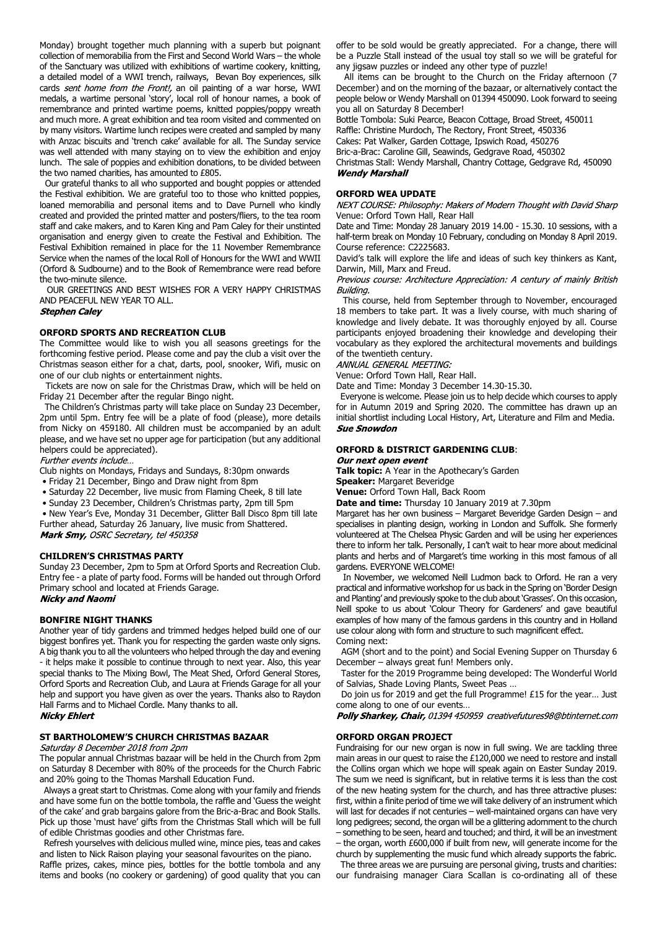Monday) brought together much planning with a superb but poignant collection of memorabilia from the First and Second World Wars – the whole of the Sanctuary was utilized with exhibitions of wartime cookery, knitting, a detailed model of a WWI trench, railways, Bevan Boy experiences, silk cards sent home from the Front!, an oil painting of a war horse, WWI medals, a wartime personal 'story', local roll of honour names, a book of remembrance and printed wartime poems, knitted poppies/poppy wreath and much more. A great exhibition and tea room visited and commented on by many visitors. Wartime lunch recipes were created and sampled by many with Anzac biscuits and 'trench cake' available for all. The Sunday service was well attended with many staying on to view the exhibition and enjoy lunch. The sale of poppies and exhibition donations, to be divided between the two named charities, has amounted to £805.

 Our grateful thanks to all who supported and bought poppies or attended the Festival exhibition. We are grateful too to those who knitted poppies, loaned memorabilia and personal items and to Dave Purnell who kindly created and provided the printed matter and posters/fliers, to the tea room staff and cake makers, and to Karen King and Pam Caley for their unstinted organisation and energy given to create the Festival and Exhibition. The Festival Exhibition remained in place for the 11 November Remembrance Service when the names of the local Roll of Honours for the WWI and WWII (Orford & Sudbourne) and to the Book of Remembrance were read before the two-minute silence.

 OUR GREETINGS AND BEST WISHES FOR A VERY HAPPY CHRISTMAS AND PEACEFUL NEW YEAR TO ALL.

#### **Stephen Caley**

### **ORFORD SPORTS AND RECREATION CLUB**

The Committee would like to wish you all seasons greetings for the forthcoming festive period. Please come and pay the club a visit over the Christmas season either for a chat, darts, pool, snooker, Wifi, music on one of our club nights or entertainment nights.

 Tickets are now on sale for the Christmas Draw, which will be held on Friday 21 December after the regular Bingo night.

 The Children's Christmas party will take place on Sunday 23 December, 2pm until 5pm. Entry fee will be a plate of food (please), more details from Nicky on 459180. All children must be accompanied by an adult please, and we have set no upper age for participation (but any additional helpers could be appreciated).

Further events include...

Club nights on Mondays, Fridays and Sundays, 8:30pm onwards

- Friday 21 December, Bingo and Draw night from 8pm
- Saturday 22 December, live music from Flaming Cheek, 8 till late
- Sunday 23 December, Children's Christmas party, 2pm till 5pm

 • New Year's Eve, Monday 31 December, Glitter Ball Disco 8pm till late Further ahead, Saturday 26 January, live music from Shattered. Mark Smy, OSRC Secretary, tel 450358

# **CHILDREN'S CHRISTMAS PARTY**

Sunday 23 December, 2pm to 5pm at Orford Sports and Recreation Club. Entry fee - a plate of party food. Forms will be handed out through Orford Primary school and located at Friends Garage.<br>**Nicky and Naomi** 

# **BONFIRE NIGHT THANKS**

Another year of tidy gardens and trimmed hedges helped build one of our biggest bonfires yet. Thank you for respecting the garden waste only signs. A big thank you to all the volunteers who helped through the day and evening - it helps make it possible to continue through to next year. Also, this year special thanks to The Mixing Bowl, The Meat Shed, Orford General Stores, Orford Sports and Recreation Club, and Laura at Friends Garage for all your help and support you have given as over the years. Thanks also to Raydon Hall Farms and to Michael Cordle. Many thanks to all.

# **Nicky Ehlert**

#### **ST BARTHOLOMEW'S CHURCH CHRISTMAS BAZAAR**

Saturday 8 December 2018 from 2pm

The popular annual Christmas bazaar will be held in the Church from 2pm on Saturday 8 December with 80% of the proceeds for the Church Fabric and 20% going to the Thomas Marshall Education Fund.

 Always a great start to Christmas. Come along with your family and friends and have some fun on the bottle tombola, the raffle and 'Guess the weight of the cake' and grab bargains galore from the Bric-a-Brac and Book Stalls. Pick up those 'must have' gifts from the Christmas Stall which will be full of edible Christmas goodies and other Christmas fare.

 Refresh yourselves with delicious mulled wine, mince pies, teas and cakes and listen to Nick Raison playing your seasonal favourites on the piano.

Raffle prizes, cakes, mince pies, bottles for the bottle tombola and any items and books (no cookery or gardening) of good quality that you can offer to be sold would be greatly appreciated. For a change, there will be a Puzzle Stall instead of the usual toy stall so we will be grateful for any jigsaw puzzles or indeed any other type of puzzle!

 All items can be brought to the Church on the Friday afternoon (7 December) and on the morning of the bazaar, or alternatively contact the people below or Wendy Marshall on 01394 450090. Look forward to seeing you all on Saturday 8 December!

Bottle Tombola: Suki Pearce, Beacon Cottage, Broad Street, 450011

Raffle: Christine Murdoch, The Rectory, Front Street, 450336

Cakes: Pat Walker, Garden Cottage, Ipswich Road, 450276 Bric-a-Brac: Caroline Gill, Seawinds, Gedgrave Road, 450302

Christmas Stall: Wendy Marshall, Chantry Cottage, Gedgrave Rd, 450090 **Wendy Marshall** 

**ORFORD WEA UPDATE**<br>NEXT COURSE: Philosophy: Makers of Modern Thought with David Sharp Venue: Orford Town Hall, Rear Hall

Date and Time: Monday 28 January 2019 14.00 - 15.30. 10 sessions, with a half-term break on Monday 10 February, concluding on Monday 8 April 2019. Course reference: C2225683.

David's talk will explore the life and ideas of such key thinkers as Kant, Darwin, Mill, Marx and Freud.

Previous course: Architecture Appreciation: A century of mainly British Buildina.

 This course, held from September through to November, encouraged 18 members to take part. It was a lively course, with much sharing of knowledge and lively debate. It was thoroughly enjoyed by all. Course participants enjoyed broadening their knowledge and developing their vocabulary as they explored the architectural movements and buildings of the twentieth century.

ANNUAL GENERAL MEETING:

Venue: Orford Town Hall, Rear Hall.

Date and Time: Monday 3 December 14.30-15.30.

 Everyone is welcome. Please join us to help decide which courses to apply for in Autumn 2019 and Spring 2020. The committee has drawn up an initial shortlist including Local History, Art, Literature and Film and Media. **Sue Snowdon** 

# **ORFORD & DISTRICT GARDENING CLUB**:

Our next open event

**Talk topic:** A Year in the Apothecary's Garden **Speaker:** Margaret Beveridge

**Venue:** Orford Town Hall, Back Room

**Date and time:** Thursday 10 January 2019 at 7.30pm

Margaret has her own business – Margaret Beveridge Garden Design – and specialises in planting design, working in London and Suffolk. She formerly volunteered at The Chelsea Physic Garden and will be using her experiences there to inform her talk. Personally, I can't wait to hear more about medicinal plants and herbs and of Margaret's time working in this most famous of all gardens. EVERYONE WELCOME!

 In November, we welcomed Neill Ludmon back to Orford. He ran a very practical and informative workshop for us back in the Spring on 'Border Design and Planting' and previously spoke to the club about 'Grasses'. On this occasion, Neill spoke to us about 'Colour Theory for Gardeners' and gave beautiful examples of how many of the famous gardens in this country and in Holland use colour along with form and structure to such magnificent effect. Coming next:

 AGM (short and to the point) and Social Evening Supper on Thursday 6 December – always great fun! Members only.

 Taster for the 2019 Programme being developed: The Wonderful World of Salvias, Shade Loving Plants, Sweet Peas …

 Do join us for 2019 and get the full Programme! £15 for the year… Just come along to one of our events…

Polly Sharkey, Chair, 01394 450959 creativefutures98@btinternet.com

#### **ORFORD ORGAN PROJECT**

Fundraising for our new organ is now in full swing. We are tackling three main areas in our quest to raise the £120,000 we need to restore and install the Collins organ which we hope will speak again on Easter Sunday 2019. The sum we need is significant, but in relative terms it is less than the cost of the new heating system for the church, and has three attractive pluses: first, within a finite period of time we will take delivery of an instrument which will last for decades if not centuries – well-maintained organs can have very long pedigrees; second, the organ will be a glittering adornment to the church – something to be seen, heard and touched; and third, it will be an investment – the organ, worth £600,000 if built from new, will generate income for the

church by supplementing the music fund which already supports the fabric. The three areas we are pursuing are personal giving, trusts and charities:

our fundraising manager Ciara Scallan is co-ordinating all of these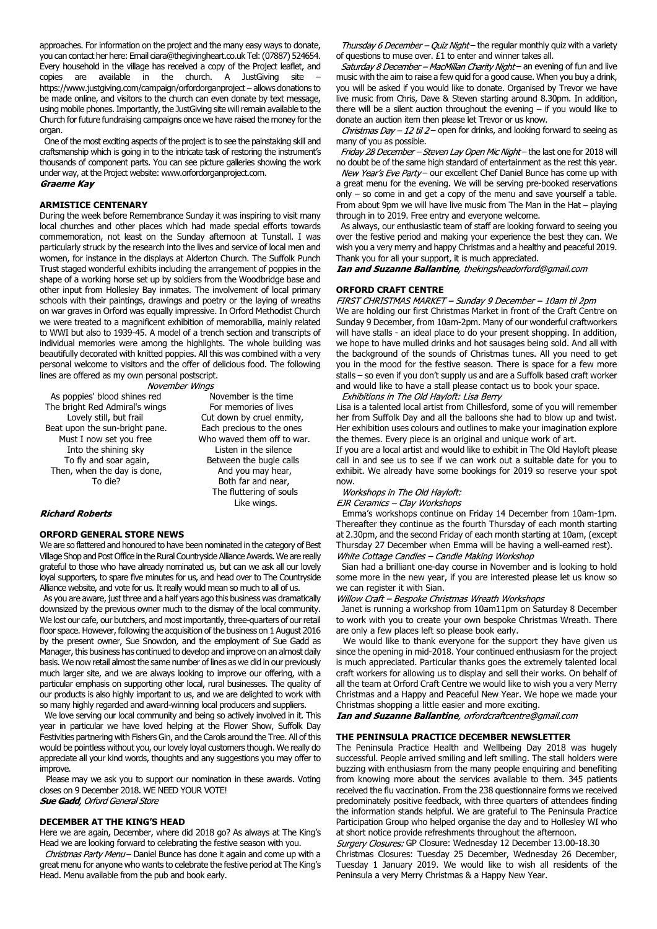approaches. For information on the project and the many easy ways to donate, you can contact her here: Email ciara@thegivingheart.co.uk Tel: (07887) 524654. Every household in the village has received a copy of the Project leaflet, and copies are available in the church. A JustGiving site – https://www.justgiving.com/campaign/orfordorganproject – allows donations to be made online, and visitors to the church can even donate by text message, using mobile phones. Importantly, the JustGiving site will remain available to the Church for future fundraising campaigns once we have raised the money for the organ.

 One of the most exciting aspects of the project is to see the painstaking skill and craftsmanship which is going in to the intricate task of restoring the instrument's thousands of component parts. You can see picture galleries showing the work under way, at the Project website: www.orfordorganproject.com. Graeme Kav

## **ARMISTICE CENTENARY**

During the week before Remembrance Sunday it was inspiring to visit many local churches and other places which had made special efforts towards commemoration, not least on the Sunday afternoon at Tunstall. I was particularly struck by the research into the lives and service of local men and women, for instance in the displays at Alderton Church. The Suffolk Punch Trust staged wonderful exhibits including the arrangement of poppies in the shape of a working horse set up by soldiers from the Woodbridge base and other input from Hollesley Bay inmates. The involvement of local primary schools with their paintings, drawings and poetry or the laying of wreaths on war graves in Orford was equally impressive. In Orford Methodist Church we were treated to a magnificent exhibition of memorabilia, mainly related to WWI but also to 1939-45. A model of a trench section and transcripts of individual memories were among the highlights. The whole building was beautifully decorated with knitted poppies. All this was combined with a very personal welcome to visitors and the offer of delicious food. The following lines are offered as my own personal postscript.

November Wings

As poppies' blood shines red November is the time The bright Red Admiral's wings For memories of lives Lovely still, but frail Cut down by cruel enmity, Beat upon the sun-bright pane. Each precious to the ones Must I now set you free Who waved them off to war. Into the shining sky Listen in the silence To fly and soar again, Between the bugle calls Then, when the day is done, and you may hear,

To die? Both far and near, The fluttering of souls Like wings.

# **Richard Roberts**

## **ORFORD GENERAL STORE NEWS**

We are so flattered and honoured to have been nominated in the category of Best Village Shop and Post Office in the Rural Countryside Alliance Awards. We are really grateful to those who have already nominated us, but can we ask all our lovely loyal supporters, to spare five minutes for us, and head over to The Countryside Alliance website, and vote for us. It really would mean so much to all of us.

 As you are aware, just three and a half years ago this business was dramatically downsized by the previous owner much to the dismay of the local community. We lost our cafe, our butchers, and most importantly, three-quarters of our retail floor space. However, following the acquisition of the business on 1 August 2016 by the present owner, Sue Snowdon, and the employment of Sue Gadd as Manager, this business has continued to develop and improve on an almost daily basis. We now retail almost the same number of lines as we did in our previously much larger site, and we are always looking to improve our offering, with a particular emphasis on supporting other local, rural businesses. The quality of our products is also highly important to us, and we are delighted to work with so many highly regarded and award-winning local producers and suppliers.

 We love serving our local community and being so actively involved in it. This year in particular we have loved helping at the Flower Show, Suffolk Day Festivities partnering with Fishers Gin, and the Carols around the Tree. All of this would be pointless without you, our lovely loyal customers though. We really do appreciate all your kind words, thoughts and any suggestions you may offer to improve.

 Please may we ask you to support our nomination in these awards. Voting closes on 9 December 2018. WE NEED YOUR VOTE! **Sue Gadd**, Orford General Store

# **DECEMBER AT THE KING'S HEAD**

Here we are again, December, where did 2018 go? As always at The King's Head we are looking forward to celebrating the festive season with you.

Christmas Party Menu - Daniel Bunce has done it again and come up with a great menu for anyone who wants to celebrate the festive period at The King's Head. Menu available from the pub and book early.

Thursday 6 December – Quiz Night – the regular monthly quiz with a variety of questions to muse over. £1 to enter and winner takes all.

Saturday 8 December - MacMillan Charity Night- an evening of fun and live music with the aim to raise a few quid for a good cause. When you buy a drink, you will be asked if you would like to donate. Organised by Trevor we have live music from Chris, Dave & Steven starting around 8.30pm. In addition, there will be a silent auction throughout the evening – if you would like to donate an auction item then please let Trevor or us know.

Christmas Day - 12 til 2 - open for drinks, and looking forward to seeing as many of you as possible.

Friday 28 December - Steven Lay Open Mic Night - the last one for 2018 will no doubt be of the same high standard of entertainment as the rest this year.

New Year's Eve Party- our excellent Chef Daniel Bunce has come up with a great menu for the evening. We will be serving pre-booked reservations only – so come in and get a copy of the menu and save yourself a table. From about 9pm we will have live music from The Man in the Hat – playing through in to 2019. Free entry and everyone welcome.

 As always, our enthusiastic team of staff are looking forward to seeing you over the festive period and making your experience the best they can. We wish you a very merry and happy Christmas and a healthy and peaceful 2019. Thank you for all your support, it is much appreciated.

Ian and Suzanne Ballantine, thekingsheadorford@gmail.com

**ORFORD CRAFT CENTRE**<br>FIRST CHRISTMAS MARKET – Sunday 9 December – 10am til 2pm We are holding our first Christmas Market in front of the Craft Centre on Sunday 9 December, from 10am-2pm. Many of our wonderful craftworkers will have stalls - an ideal place to do your present shopping. In addition, we hope to have mulled drinks and hot sausages being sold. And all with the background of the sounds of Christmas tunes. All you need to get you in the mood for the festive season. There is space for a few more stalls – so even if you don't supply us and are a Suffolk based craft worker and would like to have a stall please contact us to book your space.

Exhibitions in The Old Hayloft: Lisa Berry

Lisa is a talented local artist from Chillesford, some of you will remember her from Suffolk Day and all the balloons she had to blow up and twist. Her exhibition uses colours and outlines to make your imagination explore the themes. Every piece is an original and unique work of art.

If you are a local artist and would like to exhibit in The Old Hayloft please call in and see us to see if we can work out a suitable date for you to exhibit. We already have some bookings for 2019 so reserve your spot now.

Workshops in The Old Hayloft:

EJR Ceramics - Clay Workshops

 Emma's workshops continue on Friday 14 December from 10am-1pm. Thereafter they continue as the fourth Thursday of each month starting at 2.30pm, and the second Friday of each month starting at 10am, (except Thursday 27 December when Emma will be having a well-earned rest). White Cottage Candles - Candle Making Workshop

 Sian had a brilliant one-day course in November and is looking to hold some more in the new year, if you are interested please let us know so we can register it with Sian.<br>Willow Craft – Bespoke Christmas Wreath Workshops

 Janet is running a workshop from 10am11pm on Saturday 8 December to work with you to create your own bespoke Christmas Wreath. There are only a few places left so please book early.

 We would like to thank everyone for the support they have given us since the opening in mid-2018. Your continued enthusiasm for the project is much appreciated. Particular thanks goes the extremely talented local craft workers for allowing us to display and sell their works. On behalf of all the team at Orford Craft Centre we would like to wish you a very Merry Christmas and a Happy and Peaceful New Year. We hope we made your Christmas shopping a little easier and more exciting.<br>**Ian and Suzanne Ballantine**, orfordcraftcentre@gmail.com

#### **THE PENINSULA PRACTICE DECEMBER NEWSLETTER**

The Peninsula Practice Health and Wellbeing Day 2018 was hugely successful. People arrived smiling and left smiling. The stall holders were buzzing with enthusiasm from the many people enquiring and benefiting from knowing more about the services available to them. 345 patients received the flu vaccination. From the 238 questionnaire forms we received predominately positive feedback, with three quarters of attendees finding the information stands helpful. We are grateful to The Peninsula Practice Participation Group who helped organise the day and to Hollesley WI who at short notice provide refreshments throughout the afternoon.

Surgery Closures: GP Closure: Wednesday 12 December 13.00-18.30 Christmas Closures: Tuesday 25 December, Wednesday 26 December, Tuesday 1 January 2019. We would like to wish all residents of the Peninsula a very Merry Christmas & a Happy New Year.